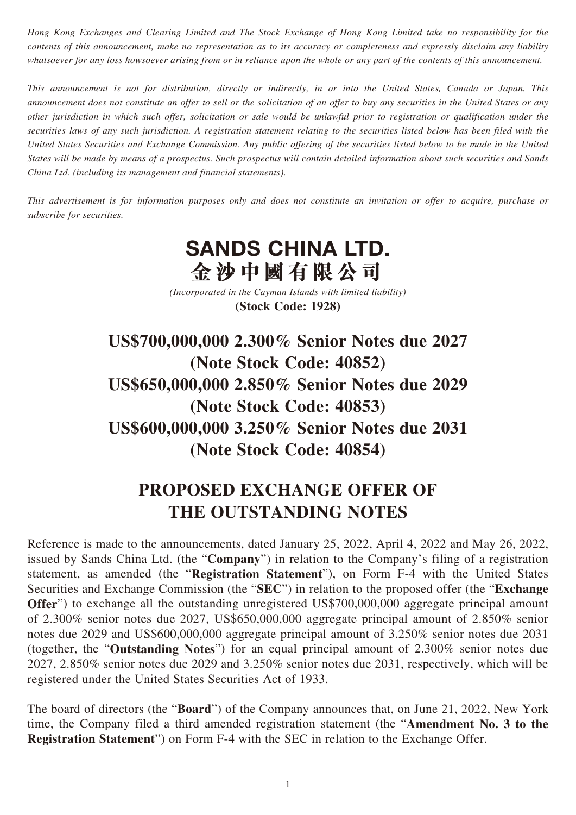*Hong Kong Exchanges and Clearing Limited and The Stock Exchange of Hong Kong Limited take no responsibility for the contents of this announcement, make no representation as to its accuracy or completeness and expressly disclaim any liability whatsoever for any loss howsoever arising from or in reliance upon the whole or any part of the contents of this announcement.*

*This announcement is not for distribution, directly or indirectly, in or into the United States, Canada or Japan. This announcement does not constitute an offer to sell or the solicitation of an offer to buy any securities in the United States or any other jurisdiction in which such offer, solicitation or sale would be unlawful prior to registration or qualification under the securities laws of any such jurisdiction. A registration statement relating to the securities listed below has been filed with the United States Securities and Exchange Commission. Any public offering of the securities listed below to be made in the United States will be made by means of a prospectus. Such prospectus will contain detailed information about such securities and Sands China Ltd. (including its management and financial statements).*

*This advertisement is for information purposes only and does not constitute an invitation or offer to acquire, purchase or subscribe for securities.*

## **SANDS CHINA LTD. 金沙中國有限公司**

*(Incorporated in the Cayman Islands with limited liability)* **(Stock Code: 1928)**

**US\$700,000,000 2.300% Senior Notes due 2027 (Note Stock Code: 40852) US\$650,000,000 2.850% Senior Notes due 2029 (Note Stock Code: 40853) US\$600,000,000 3.250% Senior Notes due 2031 (Note Stock Code: 40854)**

## **PROPOSED EXCHANGE OFFER OF THE OUTSTANDING NOTES**

Reference is made to the announcements, dated January 25, 2022, April 4, 2022 and May 26, 2022, issued by Sands China Ltd. (the "**Company**") in relation to the Company's filing of a registration statement, as amended (the "**Registration Statement**"), on Form F-4 with the United States Securities and Exchange Commission (the "**SEC**") in relation to the proposed offer (the "**Exchange Offer**") to exchange all the outstanding unregistered US\$700,000,000 aggregate principal amount of 2.300% senior notes due 2027, US\$650,000,000 aggregate principal amount of 2.850% senior notes due 2029 and US\$600,000,000 aggregate principal amount of 3.250% senior notes due 2031 (together, the "**Outstanding Notes**") for an equal principal amount of 2.300% senior notes due 2027, 2.850% senior notes due 2029 and 3.250% senior notes due 2031, respectively, which will be registered under the United States Securities Act of 1933.

The board of directors (the "**Board**") of the Company announces that, on June 21, 2022, New York time, the Company filed a third amended registration statement (the "**Amendment No. 3 to the Registration Statement**") on Form F-4 with the SEC in relation to the Exchange Offer.